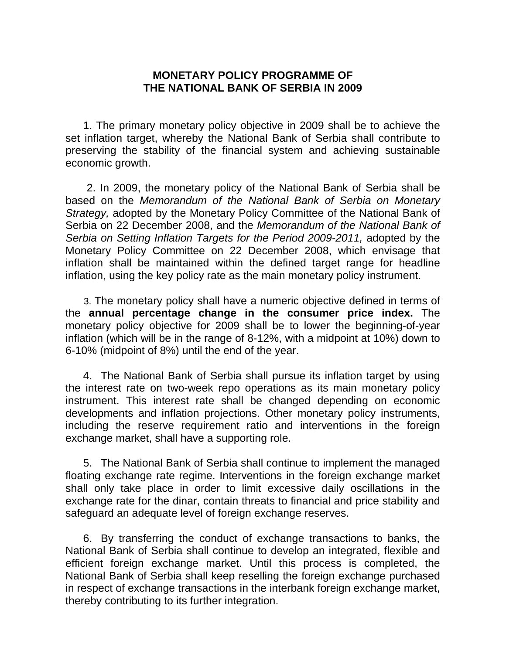## **MONETARY POLICY PROGRAMME OF THE NATIONAL BANK OF SERBIA IN 2009**

 1. The primary monetary policy objective in 2009 shall be to achieve the set inflation target, whereby the National Bank of Serbia shall contribute to preserving the stability of the financial system and achieving sustainable economic growth.

 2. In 2009, the monetary policy of the National Bank of Serbia shall be based on the *Memorandum of the National Bank of Serbia on Monetary Strategy,* adopted by the Monetary Policy Committee of the National Bank of Serbia on 22 December 2008, and the *Memorandum of the National Bank of Serbia on Setting Inflation Targets for the Period 2009-2011, adopted by the* Monetary Policy Committee on 22 December 2008, which envisage that inflation shall be maintained within the defined target range for headline inflation, using the key policy rate as the main monetary policy instrument.

 3. The monetary policy shall have a numeric objective defined in terms of the **annual percentage change in the consumer price index.** The monetary policy objective for 2009 shall be to lower the beginning-of-year inflation (which will be in the range of 8-12%, with a midpoint at 10%) down to 6-10% (midpoint of 8%) until the end of the year.

 4. The National Bank of Serbia shall pursue its inflation target by using the interest rate on two-week repo operations as its main monetary policy instrument. This interest rate shall be changed depending on economic developments and inflation projections. Other monetary policy instruments, including the reserve requirement ratio and interventions in the foreign exchange market, shall have a supporting role.

 5. The National Bank of Serbia shall continue to implement the managed floating exchange rate regime. Interventions in the foreign exchange market shall only take place in order to limit excessive daily oscillations in the exchange rate for the dinar, contain threats to financial and price stability and safeguard an adequate level of foreign exchange reserves.

 6. By transferring the conduct of exchange transactions to banks, the National Bank of Serbia shall continue to develop an integrated, flexible and efficient foreign exchange market. Until this process is completed, the National Bank of Serbia shall keep reselling the foreign exchange purchased in respect of exchange transactions in the interbank foreign exchange market, thereby contributing to its further integration.